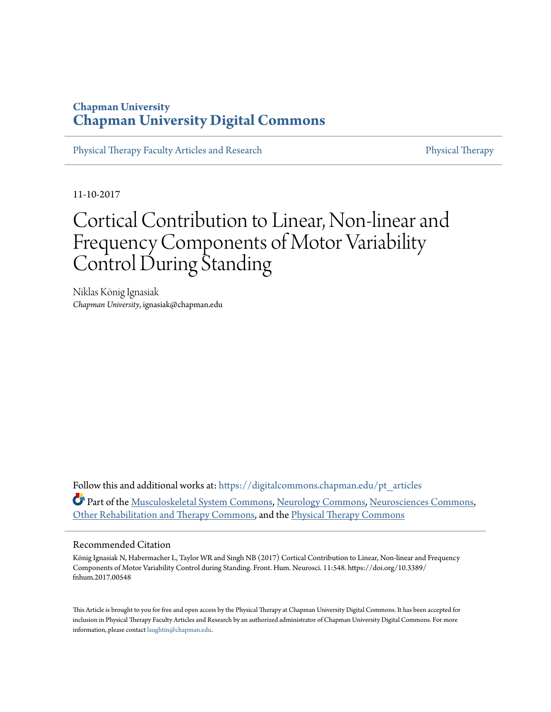## **Chapman University [Chapman University Digital Commons](https://digitalcommons.chapman.edu?utm_source=digitalcommons.chapman.edu%2Fpt_articles%2F110&utm_medium=PDF&utm_campaign=PDFCoverPages)**

[Physical Therapy Faculty Articles and Research](https://digitalcommons.chapman.edu/pt_articles?utm_source=digitalcommons.chapman.edu%2Fpt_articles%2F110&utm_medium=PDF&utm_campaign=PDFCoverPages) [Physical Therapy](https://digitalcommons.chapman.edu/physicaltherapy?utm_source=digitalcommons.chapman.edu%2Fpt_articles%2F110&utm_medium=PDF&utm_campaign=PDFCoverPages)

11-10-2017

# Cortical Contribution to Linear, Non-linear and Frequency Components of Motor Variability Control During Standing

Niklas König Ignasiak *Chapman University*, ignasiak@chapman.edu

Follow this and additional works at: [https://digitalcommons.chapman.edu/pt\\_articles](https://digitalcommons.chapman.edu/pt_articles?utm_source=digitalcommons.chapman.edu%2Fpt_articles%2F110&utm_medium=PDF&utm_campaign=PDFCoverPages) Part of the [Musculoskeletal System Commons,](http://network.bepress.com/hgg/discipline/938?utm_source=digitalcommons.chapman.edu%2Fpt_articles%2F110&utm_medium=PDF&utm_campaign=PDFCoverPages) [Neurology Commons,](http://network.bepress.com/hgg/discipline/692?utm_source=digitalcommons.chapman.edu%2Fpt_articles%2F110&utm_medium=PDF&utm_campaign=PDFCoverPages) [Neurosciences Commons,](http://network.bepress.com/hgg/discipline/1010?utm_source=digitalcommons.chapman.edu%2Fpt_articles%2F110&utm_medium=PDF&utm_campaign=PDFCoverPages) [Other Rehabilitation and Therapy Commons](http://network.bepress.com/hgg/discipline/758?utm_source=digitalcommons.chapman.edu%2Fpt_articles%2F110&utm_medium=PDF&utm_campaign=PDFCoverPages), and the [Physical Therapy Commons](http://network.bepress.com/hgg/discipline/754?utm_source=digitalcommons.chapman.edu%2Fpt_articles%2F110&utm_medium=PDF&utm_campaign=PDFCoverPages)

#### Recommended Citation

König Ignasiak N, Habermacher L, Taylor WR and Singh NB (2017) Cortical Contribution to Linear, Non-linear and Frequency Components of Motor Variability Control during Standing. Front. Hum. Neurosci. 11:548. https://doi.org/10.3389/ fnhum.2017.00548

This Article is brought to you for free and open access by the Physical Therapy at Chapman University Digital Commons. It has been accepted for inclusion in Physical Therapy Faculty Articles and Research by an authorized administrator of Chapman University Digital Commons. For more information, please contact [laughtin@chapman.edu](mailto:laughtin@chapman.edu).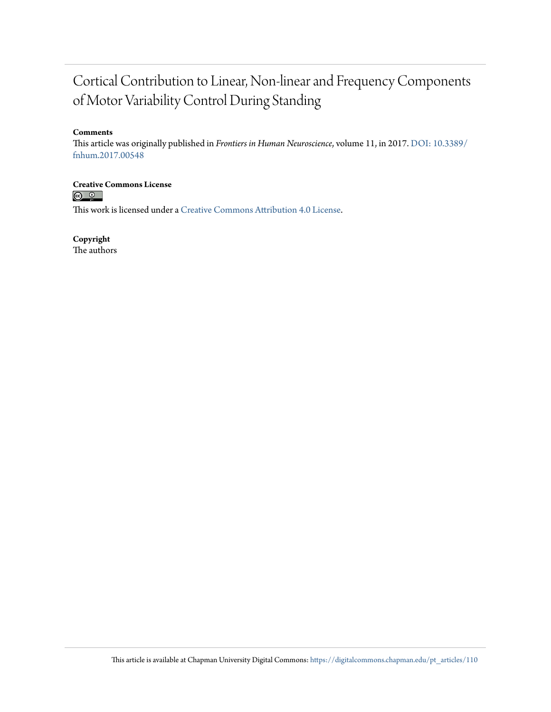## Cortical Contribution to Linear, Non-linear and Frequency Components of Motor Variability Control During Standing

#### **Comments**

This article was originally published in *Frontiers in Human Neuroscience*, volume 11, in 2017. [DOI: 10.3389/](https://doi.org/10.3389/fnhum.2017.00548) [fnhum.2017.00548](https://doi.org/10.3389/fnhum.2017.00548)

**Creative Commons License**<br> **C Q Q** 

This work is licensed under a [Creative Commons Attribution 4.0 License.](https://creativecommons.org/licenses/by/4.0/)

**Copyright**

The authors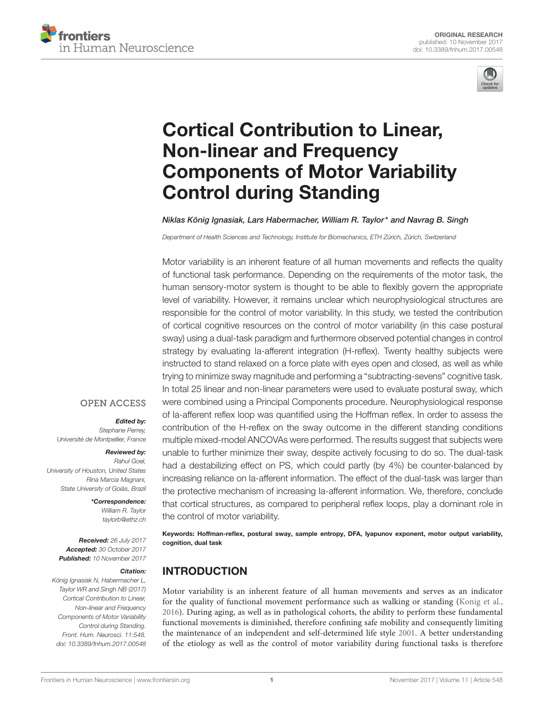



## Cortical Contribution to Linear, Non-linear and Frequency [Components of Motor Variability](https://www.frontiersin.org/articles/10.3389/fnhum.2017.00548/full) Control during Standing

#### [Niklas König Ignasiak,](http://loop.frontiersin.org/people/288983/overview) Lars Habermacher, [William R. Taylor\\*](http://loop.frontiersin.org/people/349610/overview) and [Navrag B. Singh](http://loop.frontiersin.org/people/350976/overview)

Department of Health Sciences and Technology, Institute for Biomechanics, ETH Zürich, Zürich, Switzerland

Motor variability is an inherent feature of all human movements and reflects the quality of functional task performance. Depending on the requirements of the motor task, the human sensory-motor system is thought to be able to flexibly govern the appropriate level of variability. However, it remains unclear which neurophysiological structures are responsible for the control of motor variability. In this study, we tested the contribution of cortical cognitive resources on the control of motor variability (in this case postural sway) using a dual-task paradigm and furthermore observed potential changes in control strategy by evaluating Ia-afferent integration (H-reflex). Twenty healthy subjects were instructed to stand relaxed on a force plate with eyes open and closed, as well as while trying to minimize sway magnitude and performing a "subtracting-sevens" cognitive task. In total 25 linear and non-linear parameters were used to evaluate postural sway, which were combined using a Principal Components procedure. Neurophysiological response of Ia-afferent reflex loop was quantified using the Hoffman reflex. In order to assess the contribution of the H-reflex on the sway outcome in the different standing conditions multiple mixed-model ANCOVAs were performed. The results suggest that subjects were unable to further minimize their sway, despite actively focusing to do so. The dual-task had a destabilizing effect on PS, which could partly (by 4%) be counter-balanced by increasing reliance on Ia-afferent information. The effect of the dual-task was larger than the protective mechanism of increasing Ia-afferent information. We, therefore, conclude that cortical structures, as compared to peripheral reflex loops, play a dominant role in the control of motor variability.

Keywords: Hoffman-reflex, postural sway, sample entropy, DFA, lyapunov exponent, motor output variability, cognition, dual task

#### INTRODUCTION

Motor variability is an inherent feature of all human movements and serves as an indicator for the quality of functional movement performance such as walking or standing [\(Konig et al.,](#page-8-0) [2016\)](#page-8-0). During aging, as well as in pathological cohorts, the ability to perform these fundamental functional movements is diminished, therefore confining safe mobility and consequently limiting the maintenance of an independent and self-determined life style [2001.](#page-8-1) A better understanding of the etiology as well as the control of motor variability during functional tasks is therefore

#### **OPEN ACCESS**

#### Edited by:

Stephane Perrey, Université de Montpellier, France

#### Reviewed by:

Rahul Goel, University of Houston, United States Rina Marcia Magnani, State University of Goiás, Brazil

> \*Correspondence: William R. Taylor [taylorb@ethz.ch](mailto:taylorb@ethz.ch)

Received: 26 July 2017 Accepted: 30 October 2017 Published: 10 November 2017

#### Citation:

König Ignasiak N, Habermacher L, Taylor WR and Singh NB (2017) Cortical Contribution to Linear, Non-linear and Frequency Components of Motor Variability Control during Standing. Front. Hum. Neurosci. 11:548. doi: [10.3389/fnhum.2017.00548](https://doi.org/10.3389/fnhum.2017.00548)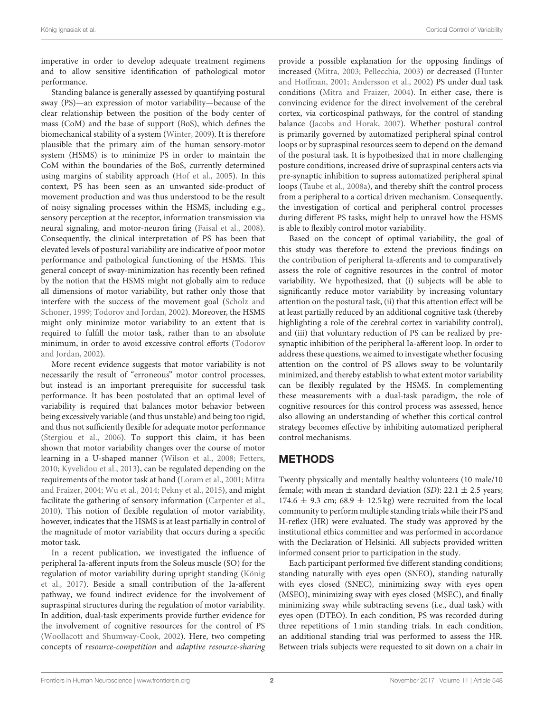imperative in order to develop adequate treatment regimens and to allow sensitive identification of pathological motor performance.

Standing balance is generally assessed by quantifying postural sway (PS)—an expression of motor variability—because of the clear relationship between the position of the body center of mass (CoM) and the base of support (BoS), which defines the biomechanical stability of a system [\(Winter, 2009\)](#page-9-0). It is therefore plausible that the primary aim of the human sensory-motor system (HSMS) is to minimize PS in order to maintain the CoM within the boundaries of the BoS, currently determined using margins of stability approach [\(Hof et al., 2005\)](#page-8-2). In this context, PS has been seen as an unwanted side-product of movement production and was thus understood to be the result of noisy signaling processes within the HSMS, including e.g., sensory perception at the receptor, information transmission via neural signaling, and motor-neuron firing [\(Faisal et al., 2008\)](#page-8-3). Consequently, the clinical interpretation of PS has been that elevated levels of postural variability are indicative of poor motor performance and pathological functioning of the HSMS. This general concept of sway-minimization has recently been refined by the notion that the HSMS might not globally aim to reduce all dimensions of motor variability, but rather only those that interfere with the success of the movement goal (Scholz and Schoner, [1999;](#page-9-1) [Todorov and Jordan, 2002\)](#page-9-2). Moreover, the HSMS might only minimize motor variability to an extent that is required to fulfill the motor task, rather than to an absolute minimum, in order to avoid excessive control efforts (Todorov and Jordan, [2002\)](#page-9-2).

More recent evidence suggests that motor variability is not necessarily the result of "erroneous" motor control processes, but instead is an important prerequisite for successful task performance. It has been postulated that an optimal level of variability is required that balances motor behavior between being excessively variable (and thus unstable) and being too rigid, and thus not sufficiently flexible for adequate motor performance [\(Stergiou et al., 2006\)](#page-9-3). To support this claim, it has been shown that motor variability changes over the course of motor learning in a U-shaped manner [\(Wilson et al., 2008;](#page-9-4) [Fetters,](#page-8-4) [2010;](#page-8-4) [Kyvelidou et al., 2013\)](#page-9-5), can be regulated depending on the requirements of the motor task at hand [\(Loram et al., 2001;](#page-9-6) Mitra and Fraizer, [2004;](#page-9-7) [Wu et al., 2014;](#page-9-8) [Pekny et al., 2015\)](#page-9-9), and might facilitate the gathering of sensory information [\(Carpenter et al.,](#page-8-5) [2010\)](#page-8-5). This notion of flexible regulation of motor variability, however, indicates that the HSMS is at least partially in control of the magnitude of motor variability that occurs during a specific motor task.

In a recent publication, we investigated the influence of peripheral Ia-afferent inputs from the Soleus muscle (SO) for the regulation of motor variability during upright standing (König et al., [2017\)](#page-8-6). Beside a small contribution of the Ia-afferent pathway, we found indirect evidence for the involvement of supraspinal structures during the regulation of motor variability. In addition, dual-task experiments provide further evidence for the involvement of cognitive resources for the control of PS [\(Woollacott and Shumway-Cook, 2002\)](#page-9-10). Here, two competing concepts of resource-competition and adaptive resource-sharing provide a possible explanation for the opposing findings of increased [\(Mitra, 2003;](#page-9-11) [Pellecchia, 2003\)](#page-9-12) or decreased (Hunter and Hoffman, [2001;](#page-8-7) [Andersson et al., 2002\)](#page-8-8) PS under dual task conditions [\(Mitra and Fraizer, 2004\)](#page-9-7). In either case, there is convincing evidence for the direct involvement of the cerebral cortex, via corticospinal pathways, for the control of standing balance [\(Jacobs and Horak, 2007\)](#page-8-9). Whether postural control is primarily governed by automatized peripheral spinal control loops or by supraspinal resources seem to depend on the demand of the postural task. It is hypothesized that in more challenging posture conditions, increased drive of supraspinal centers acts via pre-synaptic inhibition to supress automatized peripheral spinal loops [\(Taube et al., 2008a\)](#page-9-13), and thereby shift the control process from a peripheral to a cortical driven mechanism. Consequently, the investigation of cortical and peripheral control processes during different PS tasks, might help to unravel how the HSMS is able to flexibly control motor variability.

Based on the concept of optimal variability, the goal of this study was therefore to extend the previous findings on the contribution of peripheral Ia-afferents and to comparatively assess the role of cognitive resources in the control of motor variability. We hypothesized, that (i) subjects will be able to significantly reduce motor variability by increasing voluntary attention on the postural task, (ii) that this attention effect will be at least partially reduced by an additional cognitive task (thereby highlighting a role of the cerebral cortex in variability control), and (iii) that voluntary reduction of PS can be realized by presynaptic inhibition of the peripheral Ia-afferent loop. In order to address these questions, we aimed to investigate whether focusing attention on the control of PS allows sway to be voluntarily minimized, and thereby establish to what extent motor variability can be flexibly regulated by the HSMS. In complementing these measurements with a dual-task paradigm, the role of cognitive resources for this control process was assessed, hence also allowing an understanding of whether this cortical control strategy becomes effective by inhibiting automatized peripheral control mechanisms.

## METHODS

Twenty physically and mentally healthy volunteers (10 male/10 female; with mean  $\pm$  standard deviation (SD): 22.1  $\pm$  2.5 years; 174.6  $\pm$  9.3 cm; 68.9  $\pm$  12.5 kg) were recruited from the local community to perform multiple standing trials while their PS and H-reflex (HR) were evaluated. The study was approved by the institutional ethics committee and was performed in accordance with the Declaration of Helsinki. All subjects provided written informed consent prior to participation in the study.

Each participant performed five different standing conditions; standing naturally with eyes open (SNEO), standing naturally with eyes closed (SNEC), minimizing sway with eyes open (MSEO), minimizing sway with eyes closed (MSEC), and finally minimizing sway while subtracting sevens (i.e., dual task) with eyes open (DTEO). In each condition, PS was recorded during three repetitions of 1 min standing trials. In each condition, an additional standing trial was performed to assess the HR. Between trials subjects were requested to sit down on a chair in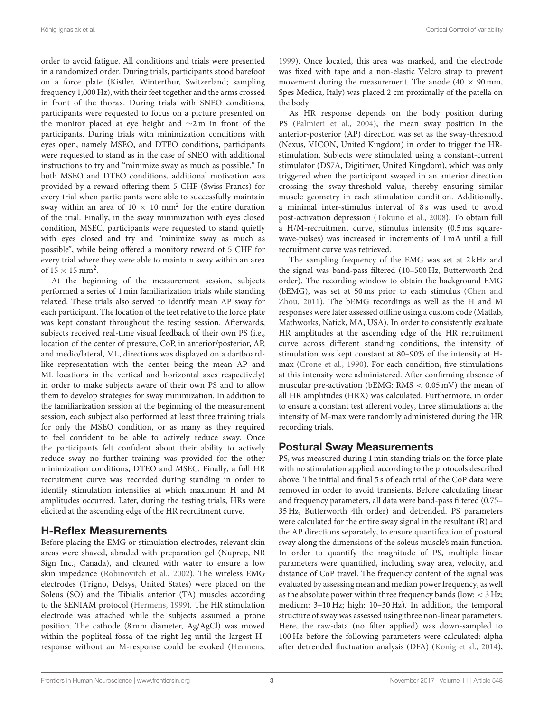order to avoid fatigue. All conditions and trials were presented in a randomized order. During trials, participants stood barefoot on a force plate (Kistler, Winterthur, Switzerland; sampling frequency 1,000 Hz), with their feet together and the arms crossed in front of the thorax. During trials with SNEO conditions, participants were requested to focus on a picture presented on the monitor placed at eye height and ∼2 m in front of the participants. During trials with minimization conditions with eyes open, namely MSEO, and DTEO conditions, participants were requested to stand as in the case of SNEO with additional instructions to try and "minimize sway as much as possible." In both MSEO and DTEO conditions, additional motivation was provided by a reward offering them 5 CHF (Swiss Francs) for every trial when participants were able to successfully maintain sway within an area of  $10 \times 10$  mm<sup>2</sup> for the entire duration of the trial. Finally, in the sway minimization with eyes closed condition, MSEC, participants were requested to stand quietly with eyes closed and try and "minimize sway as much as possible", while being offered a monitory reward of 5 CHF for every trial where they were able to maintain sway within an area of  $15 \times 15$  mm<sup>2</sup>.

At the beginning of the measurement session, subjects performed a series of 1 min familiarization trials while standing relaxed. These trials also served to identify mean AP sway for each participant. The location of the feet relative to the force plate was kept constant throughout the testing session. Afterwards, subjects received real-time visual feedback of their own PS (i.e., location of the center of pressure, CoP, in anterior/posterior, AP, and medio/lateral, ML, directions was displayed on a dartboardlike representation with the center being the mean AP and ML locations in the vertical and horizontal axes respectively) in order to make subjects aware of their own PS and to allow them to develop strategies for sway minimization. In addition to the familiarization session at the beginning of the measurement session, each subject also performed at least three training trials for only the MSEO condition, or as many as they required to feel confident to be able to actively reduce sway. Once the participants felt confident about their ability to actively reduce sway no further training was provided for the other minimization conditions, DTEO and MSEC. Finally, a full HR recruitment curve was recorded during standing in order to identify stimulation intensities at which maximum H and M amplitudes occurred. Later, during the testing trials, HRs were elicited at the ascending edge of the HR recruitment curve.

#### H-Reflex Measurements

Before placing the EMG or stimulation electrodes, relevant skin areas were shaved, abraded with preparation gel (Nuprep, NR Sign Inc., Canada), and cleaned with water to ensure a low skin impedance [\(Robinovitch et al., 2002\)](#page-9-14). The wireless EMG electrodes (Trigno, Delsys, United States) were placed on the Soleus (SO) and the Tibialis anterior (TA) muscles according to the SENIAM protocol [\(Hermens, 1999\)](#page-8-10). The HR stimulation electrode was attached while the subjects assumed a prone position. The cathode (8 mm diameter, Ag/AgCl) was moved within the popliteal fossa of the right leg until the largest Hresponse without an M-response could be evoked [\(Hermens,](#page-8-10) [1999\)](#page-8-10). Once located, this area was marked, and the electrode was fixed with tape and a non-elastic Velcro strap to prevent movement during the measurement. The anode  $(40 \times 90 \text{ mm})$ , Spes Medica, Italy) was placed 2 cm proximally of the patella on the body.

As HR response depends on the body position during PS [\(Palmieri et al., 2004\)](#page-9-15), the mean sway position in the anterior-posterior (AP) direction was set as the sway-threshold (Nexus, VICON, United Kingdom) in order to trigger the HRstimulation. Subjects were stimulated using a constant-current stimulator (DS7A, Digitimer, United Kingdom), which was only triggered when the participant swayed in an anterior direction crossing the sway-threshold value, thereby ensuring similar muscle geometry in each stimulation condition. Additionally, a minimal inter-stimulus interval of 8 s was used to avoid post-activation depression [\(Tokuno et al., 2008\)](#page-9-16). To obtain full a H/M-recruitment curve, stimulus intensity (0.5 ms squarewave-pulses) was increased in increments of 1 mA until a full recruitment curve was retrieved.

The sampling frequency of the EMG was set at 2 kHz and the signal was band-pass filtered (10–500 Hz, Butterworth 2nd order). The recording window to obtain the background EMG (bEMG), was set at 50 ms prior to each stimulus (Chen and Zhou, [2011\)](#page-8-11). The bEMG recordings as well as the H and M responses were later assessed offline using a custom code (Matlab, Mathworks, Natick, MA, USA). In order to consistently evaluate HR amplitudes at the ascending edge of the HR recruitment curve across different standing conditions, the intensity of stimulation was kept constant at 80–90% of the intensity at Hmax [\(Crone et al., 1990\)](#page-8-12). For each condition, five stimulations at this intensity were administered. After confirming absence of muscular pre-activation (bEMG: RMS < 0.05 mV) the mean of all HR amplitudes (HRX) was calculated. Furthermore, in order to ensure a constant test afferent volley, three stimulations at the intensity of M-max were randomly administered during the HR recording trials.

## Postural Sway Measurements

PS, was measured during 1 min standing trials on the force plate with no stimulation applied, according to the protocols described above. The initial and final 5 s of each trial of the CoP data were removed in order to avoid transients. Before calculating linear and frequency parameters, all data were band-pass filtered (0.75– 35 Hz, Butterworth 4th order) and detrended. PS parameters were calculated for the entire sway signal in the resultant (R) and the AP directions separately, to ensure quantification of postural sway along the dimensions of the soleus muscle's main function. In order to quantify the magnitude of PS, multiple linear parameters were quantified, including sway area, velocity, and distance of CoP travel. The frequency content of the signal was evaluated by assessing mean and median power frequency, as well as the absolute power within three frequency bands (low:  $<$  3 Hz; medium: 3–10 Hz; high: 10–30 Hz). In addition, the temporal structure of sway was assessed using three non-linear parameters. Here, the raw-data (no filter applied) was down-sampled to 100 Hz before the following parameters were calculated: alpha after detrended fluctuation analysis (DFA) [\(Konig et al., 2014\)](#page-8-13),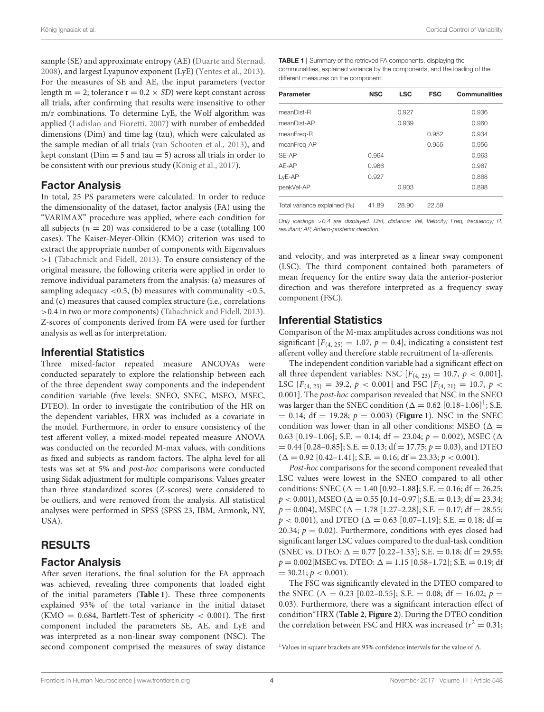sample (SE) and approximate entropy (AE) [\(Duarte and Sternad,](#page-8-14) [2008\)](#page-8-14), and largest Lyapunov exponent (LyE) [\(Yentes et al., 2013\)](#page-9-17). For the measures of SE and AE, the input parameters (vector length m = 2; tolerance  $r = 0.2 \times SD$ ) were kept constant across all trials, after confirming that results were insensitive to other m/r combinations. To determine LyE, the Wolf algorithm was applied [\(Ladislao and Fioretti, 2007\)](#page-9-18) with number of embedded dimensions (Dim) and time lag (tau), which were calculated as the sample median of all trials [\(van Schooten et al., 2013\)](#page-9-19), and kept constant ( $Dim = 5$  and tau  $= 5$ ) across all trials in order to be consistent with our previous study [\(König et al., 2017\)](#page-8-6).

## Factor Analysis

In total, 25 PS parameters were calculated. In order to reduce the dimensionality of the dataset, factor analysis (FA) using the "VARIMAX" procedure was applied, where each condition for all subjects ( $n = 20$ ) was considered to be a case (totalling 100 cases). The Kaiser-Meyer-Olkin (KMO) criterion was used to extract the appropriate number of components with Eigenvalues >1 [\(Tabachnick and Fidell, 2013\)](#page-9-20). To ensure consistency of the original measure, the following criteria were applied in order to remove individual parameters from the analysis: (a) measures of sampling adequacy  $\langle 0.5, (b)$  measures with communality  $\langle 0.5, (b) \rangle$ and (c) measures that caused complex structure (i.e., correlations >0.4 in two or more components) [\(Tabachnick and Fidell, 2013\)](#page-9-20). Z-scores of components derived from FA were used for further analysis as well as for interpretation.

#### Inferential Statistics

Three mixed-factor repeated measure ANCOVAs were conducted separately to explore the relationship between each of the three dependent sway components and the independent condition variable (five levels: SNEO, SNEC, MSEO, MSEC, DTEO). In order to investigate the contribution of the HR on the dependent variables, HRX was included as a covariate in the model. Furthermore, in order to ensure consistency of the test afferent volley, a mixed-model repeated measure ANOVA was conducted on the recorded M-max values, with conditions as fixed and subjects as random factors. The alpha level for all tests was set at 5% and post-hoc comparisons were conducted using Sidak adjustment for multiple comparisons. Values greater than three standardized scores (Z-scores) were considered to be outliers, and were removed from the analysis. All statistical analyses were performed in SPSS (SPSS 23, IBM, Armonk, NY, USA).

## RESULTS

#### Factor Analysis

After seven iterations, the final solution for the FA approach was achieved, revealing three components that loaded eight of the initial parameters (**[Table 1](#page-5-0)**). These three components explained 93% of the total variance in the initial dataset (KMO = 0.684, Bartlett-Test of sphericity  $<$  0.001). The first component included the parameters SE, AE, and LyE and was interpreted as a non-linear sway component (NSC). The second component comprised the measures of sway distance

<span id="page-5-0"></span>TABLE 1 | Summary of the retrieved FA components, displaying the communalities, explained variance by the components, and the loading of the different measures on the component.

| Parameter                    | <b>NSC</b> | <b>LSC</b> | <b>FSC</b> | <b>Communalities</b> |
|------------------------------|------------|------------|------------|----------------------|
| meanDist-R                   |            | 0.927      |            | 0.936                |
| meanDist-AP                  |            | 0.939      |            | 0.960                |
| meanFreg-R                   |            |            | 0.952      | 0.934                |
| meanFreq-AP                  |            |            | 0.955      | 0.956                |
| SE-AP                        | 0.964      |            |            | 0.963                |
| AE-AP                        | 0.966      |            |            | 0.967                |
| LyE-AP                       | 0.927      |            |            | 0.868                |
| peakVel-AP                   |            | 0.903      |            | 0.898                |
| Total variance explained (%) | 41.89      | 28.90      | 22.59      |                      |

Only loadings >0.4 are displayed. Dist, distance; Vel, Velocity; Freq, frequency; R, resultant; AP, Antero-posterior direction.

and velocity, and was interpreted as a linear sway component (LSC). The third component contained both parameters of mean frequency for the entire sway data the anterior-posterior direction and was therefore interpreted as a frequency sway component (FSC).

## Inferential Statistics

Comparison of the M-max amplitudes across conditions was not significant  $[F_{(4, 25)} = 1.07, p = 0.4]$ , indicating a consistent test afferent volley and therefore stable recruitment of Ia-afferents.

The independent condition variable had a significant effect on all three dependent variables: NSC  $[F_{(4, 23)} = 10.7, p < 0.001]$ , LSC  $[F_{(4, 23)} = 39.2, p < 0.001]$  and FSC  $[F_{(4, 21)} = 10.7, p <$ 0.001]. The post-hoc comparison revealed that NSC in the SNEO was larger than the SNEC condition ( $\Delta = 0.62$  [0.[1](#page-5-1)8-1.06]<sup>1</sup>; S.E.  $= 0.14$ ; df  $= 19.28$ ;  $p = 0.003$ ) (**[Figure 1](#page-6-0)**). NSC in the SNEC condition was lower than in all other conditions: MSEO ( $\Delta =$ 0.63 [0.19–1.06]; S.E. = 0.14; df = 23.04;  $p = 0.002$ ), MSEC ( $\Delta$  $= 0.44$  [0.28–0.85]; S.E.  $= 0.13$ ; df  $= 17.75$ ;  $p = 0.03$ ), and DTEO  $(\Delta = 0.92$  [0.42–1.41]; S.E. = 0.16; df = 23.33;  $p < 0.001$ ).

Post-hoc comparisons for the second component revealed that LSC values were lowest in the SNEO compared to all other conditions: SNEC ( $\Delta = 1.40$  [0.92-1.88]; S.E. = 0.16; df = 26.25;  $p < 0.001$ ), MSEO ( $\Delta = 0.55$  [0.14–0.97]; S.E. = 0.13; df = 23.34;  $p = 0.004$ ), MSEC ( $\Delta = 1.78$  [1.27–2.28]; S.E. = 0.17; df = 28.55;  $p < 0.001$ ), and DTEO ( $\Delta = 0.63$  [0.07–1.19]; S.E. = 0.18; df = 20.34;  $p = 0.02$ ). Furthermore, conditions with eyes closed had significant larger LSC values compared to the dual-task condition (SNEC vs. DTEO:  $\Delta = 0.77$  [0.22–1.33]; S.E. = 0.18; df = 29.55;  $p = 0.002$  MSEC vs. DTEO:  $\Delta = 1.15$  [0.58–1.72]; S.E. = 0.19; df  $= 30.21; p < 0.001$ ).

The FSC was significantly elevated in the DTEO compared to the SNEC ( $\Delta = 0.23$  [0.02–0.55]; S.E. = 0.08; df = 16.02;  $p =$ 0.03). Furthermore, there was a significant interaction effect of condition∗HRX (**[Table 2](#page-7-0)**, **[Figure 2](#page-7-1)**). During the DTEO condition the correlation between FSC and HRX was increased ( $r^2 = 0.31$ ;

<span id="page-5-1"></span> $^1$  Values in square brackets are 95% confidence intervals for the value of  $\Delta.$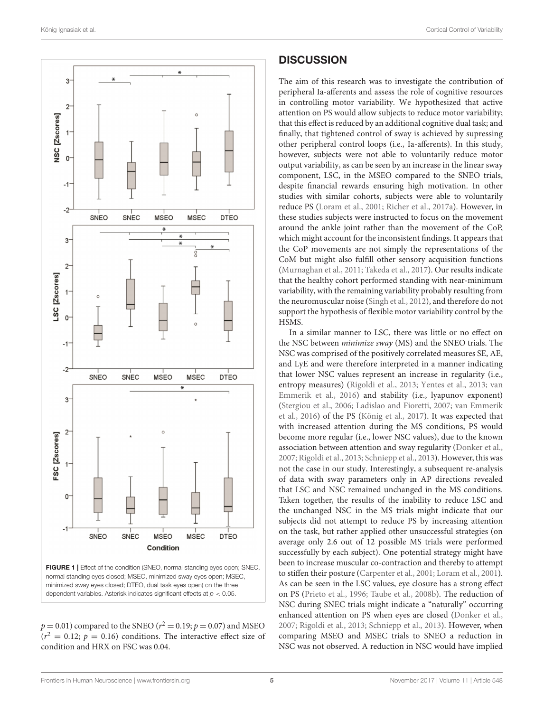

<span id="page-6-0"></span> $p = 0.01$ ) compared to the SNEO ( $r^2 = 0.19$ ;  $p = 0.07$ ) and MSEO  $(r^2 = 0.12; p = 0.16)$  conditions. The interactive effect size of condition and HRX on FSC was 0.04.

## **DISCUSSION**

The aim of this research was to investigate the contribution of peripheral Ia-afferents and assess the role of cognitive resources in controlling motor variability. We hypothesized that active attention on PS would allow subjects to reduce motor variability; that this effect is reduced by an additional cognitive dual task; and finally, that tightened control of sway is achieved by supressing other peripheral control loops (i.e., Ia-afferents). In this study, however, subjects were not able to voluntarily reduce motor output variability, as can be seen by an increase in the linear sway component, LSC, in the MSEO compared to the SNEO trials, despite financial rewards ensuring high motivation. In other studies with similar cohorts, subjects were able to voluntarily reduce PS [\(Loram et al., 2001;](#page-9-6) [Richer et al., 2017a\)](#page-9-21). However, in these studies subjects were instructed to focus on the movement around the ankle joint rather than the movement of the CoP, which might account for the inconsistent findings. It appears that the CoP movements are not simply the representations of the CoM but might also fulfill other sensory acquisition functions [\(Murnaghan et al., 2011;](#page-9-22) [Takeda et al., 2017\)](#page-9-23). Our results indicate that the healthy cohort performed standing with near-minimum variability, with the remaining variability probably resulting from the neuromuscular noise [\(Singh et al., 2012\)](#page-9-24), and therefore do not support the hypothesis of flexible motor variability control by the HSMS.

In a similar manner to LSC, there was little or no effect on the NSC between minimize sway (MS) and the SNEO trials. The NSC was comprised of the positively correlated measures SE, AE, and LyE and were therefore interpreted in a manner indicating that lower NSC values represent an increase in regularity (i.e., entropy measures) [\(Rigoldi et al., 2013;](#page-9-25) [Yentes et al., 2013;](#page-9-17) van Emmerik et al., [2016\)](#page-9-26) and stability (i.e., lyapunov exponent) [\(Stergiou et al., 2006;](#page-9-3) [Ladislao and Fioretti, 2007;](#page-9-18) van Emmerik et al., [2016\)](#page-9-26) of the PS [\(König et al., 2017\)](#page-8-6). It was expected that with increased attention during the MS conditions, PS would become more regular (i.e., lower NSC values), due to the known association between attention and sway regularity [\(Donker et al.,](#page-8-15) [2007;](#page-8-15) [Rigoldi et al., 2013;](#page-9-25) [Schniepp et al., 2013\)](#page-9-27). However, this was not the case in our study. Interestingly, a subsequent re-analysis of data with sway parameters only in AP directions revealed that LSC and NSC remained unchanged in the MS conditions. Taken together, the results of the inability to reduce LSC and the unchanged NSC in the MS trials might indicate that our subjects did not attempt to reduce PS by increasing attention on the task, but rather applied other unsuccessful strategies (on average only 2.6 out of 12 possible MS trials were performed successfully by each subject). One potential strategy might have been to increase muscular co-contraction and thereby to attempt to stiffen their posture [\(Carpenter et al., 2001;](#page-8-16) [Loram et al., 2001\)](#page-9-6). As can be seen in the LSC values, eye closure has a strong effect on PS [\(Prieto et al., 1996;](#page-9-28) [Taube et al., 2008b\)](#page-9-29). The reduction of NSC during SNEC trials might indicate a "naturally" occurring enhanced attention on PS when eyes are closed [\(Donker et al.,](#page-8-15) [2007;](#page-8-15) [Rigoldi et al., 2013;](#page-9-25) [Schniepp et al., 2013\)](#page-9-27). However, when comparing MSEO and MSEC trials to SNEO a reduction in NSC was not observed. A reduction in NSC would have implied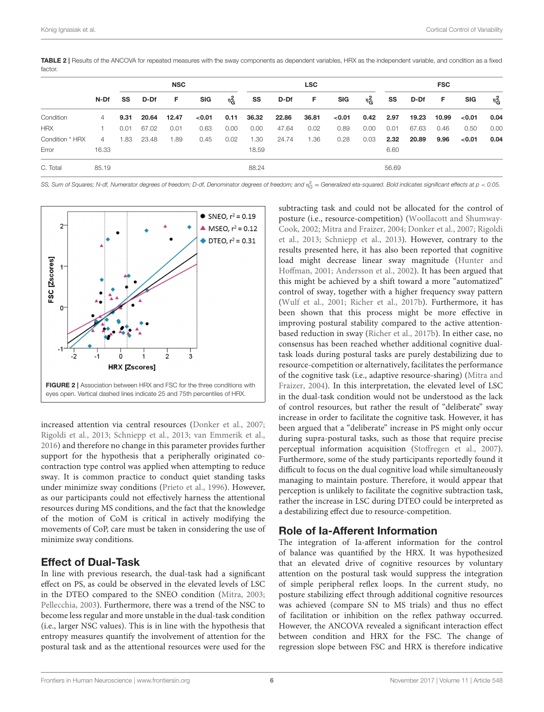<span id="page-7-0"></span>TABLE 2 | Results of the ANCOVA for repeated measures with the sway components as dependent variables, HRX as the independent variable, and condition as a fixed factor

|                 | N-Df  | <b>NSC</b> |       |       |            |         | <b>LSC</b> |       |       |            |         | <b>FSC</b> |       |       |            |                      |  |
|-----------------|-------|------------|-------|-------|------------|---------|------------|-------|-------|------------|---------|------------|-------|-------|------------|----------------------|--|
|                 |       | SS         | D-Df  | F.    | <b>SIG</b> | $n_G^2$ | SS         | D-Df  | F.    | <b>SIG</b> | $n_G^2$ | SS         | D-Df  | F.    | <b>SIG</b> | $\n  2$ <sub>G</sub> |  |
| Condition       | 4     | 9.31       | 20.64 | 12.47 | < 0.01     | 0.11    | 36.32      | 22.86 | 36.81 | < 0.01     | 0.42    | 2.97       | 19.23 | 10.99 | $<$ 0.01   | 0.04                 |  |
| <b>HRX</b>      |       | 0.01       | 67.02 | 0.01  | 0.63       | 0.00    | 0.00       | 47.64 | 0.02  | 0.89       | 0.00    | 0.01       | 67.63 | 0.46  | 0.50       | 0.00                 |  |
| Condition * HRX | 4     | 1.83       | 23.48 | 1.89  | 0.45       | 0.02    | 1.30       | 24.74 | 1.36  | 0.28       | 0.03    | 2.32       | 20.89 | 9.96  | < 0.01     | 0.04                 |  |
| Error           | 16.33 |            |       |       |            |         | 18.59      |       |       |            |         | 6.60       |       |       |            |                      |  |
| C. Total        | 85.19 |            |       |       |            |         | 88.24      |       |       |            |         | 56.69      |       |       |            |                      |  |

SS, Sum of Squares; N-df, Numerator degrees of freedom; D-df, Denominator degrees of freedom; and  $\eta_{\rm G}^2=$  Generalized eta-squared. Bold indicates significant effects at  $\rho < 0.05$ .



<span id="page-7-1"></span>increased attention via central resources [\(Donker et al., 2007;](#page-8-15) [Rigoldi et al., 2013;](#page-9-25) [Schniepp et al., 2013;](#page-9-27) [van Emmerik et al.,](#page-9-26) [2016\)](#page-9-26) and therefore no change in this parameter provides further support for the hypothesis that a peripherally originated cocontraction type control was applied when attempting to reduce sway. It is common practice to conduct quiet standing tasks under minimize sway conditions [\(Prieto et al., 1996\)](#page-9-28). However, as our participants could not effectively harness the attentional resources during MS conditions, and the fact that the knowledge of the motion of CoM is critical in actively modifying the movements of CoP, care must be taken in considering the use of minimize sway conditions.

## Effect of Dual-Task

In line with previous research, the dual-task had a significant effect on PS, as could be observed in the elevated levels of LSC in the DTEO compared to the SNEO condition [\(Mitra, 2003;](#page-9-11) [Pellecchia, 2003\)](#page-9-12). Furthermore, there was a trend of the NSC to become less regular and more unstable in the dual-task condition (i.e., larger NSC values). This is in line with the hypothesis that entropy measures quantify the involvement of attention for the postural task and as the attentional resources were used for the

subtracting task and could not be allocated for the control of posture (i.e., resource-competition) (Woollacott and Shumway-Cook, [2002;](#page-9-10) [Mitra and Fraizer, 2004;](#page-9-7) [Donker et al., 2007;](#page-8-15) Rigoldi et al., [2013;](#page-9-25) [Schniepp et al., 2013\)](#page-9-27). However, contrary to the results presented here, it has also been reported that cognitive load might decrease linear sway magnitude (Hunter and Hoffman, [2001;](#page-8-7) [Andersson et al., 2002\)](#page-8-8). It has been argued that this might be achieved by a shift toward a more "automatized" control of sway, together with a higher frequency sway pattern [\(Wulf et al., 2001;](#page-9-30) [Richer et al., 2017b\)](#page-9-31). Furthermore, it has been shown that this process might be more effective in improving postural stability compared to the active attentionbased reduction in sway [\(Richer et al., 2017b\)](#page-9-31). In either case, no consensus has been reached whether additional cognitive dualtask loads during postural tasks are purely destabilizing due to resource-competition or alternatively, facilitates the performance of the cognitive task (i.e., adaptive resource-sharing) (Mitra and Fraizer, [2004\)](#page-9-7). In this interpretation, the elevated level of LSC in the dual-task condition would not be understood as the lack of control resources, but rather the result of "deliberate" sway increase in order to facilitate the cognitive task. However, it has been argued that a "deliberate" increase in PS might only occur during supra-postural tasks, such as those that require precise perceptual information acquisition [\(Stoffregen et al., 2007\)](#page-9-32). Furthermore, some of the study participants reportedly found it difficult to focus on the dual cognitive load while simultaneously managing to maintain posture. Therefore, it would appear that perception is unlikely to facilitate the cognitive subtraction task, rather the increase in LSC during DTEO could be interpreted as a destabilizing effect due to resource-competition.

## Role of Ia-Afferent Information

The integration of Ia-afferent information for the control of balance was quantified by the HRX. It was hypothesized that an elevated drive of cognitive resources by voluntary attention on the postural task would suppress the integration of simple peripheral reflex loops. In the current study, no posture stabilizing effect through additional cognitive resources was achieved (compare SN to MS trials) and thus no effect of facilitation or inhibition on the reflex pathway occurred. However, the ANCOVA revealed a significant interaction effect between condition and HRX for the FSC. The change of regression slope between FSC and HRX is therefore indicative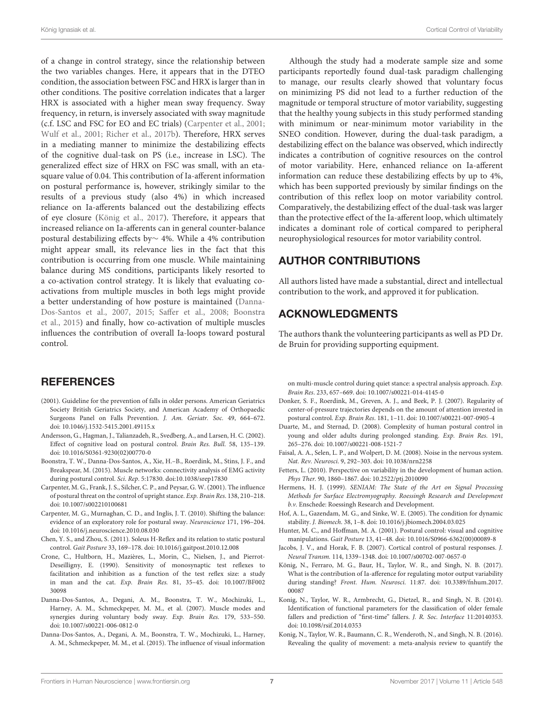of a change in control strategy, since the relationship between the two variables changes. Here, it appears that in the DTEO condition, the association between FSC and HRX is larger than in other conditions. The positive correlation indicates that a larger HRX is associated with a higher mean sway frequency. Sway frequency, in return, is inversely associated with sway magnitude (c.f. LSC and FSC for EO and EC trials) [\(Carpenter et al., 2001;](#page-8-16) [Wulf et al., 2001;](#page-9-30) [Richer et al., 2017b\)](#page-9-31). Therefore, HRX serves in a mediating manner to minimize the destabilizing effects of the cognitive dual-task on PS (i.e., increase in LSC). The generalized effect size of HRX on FSC was small, with an etasquare value of 0.04. This contribution of Ia-afferent information on postural performance is, however, strikingly similar to the results of a previous study (also 4%) in which increased reliance on Ia-afferents balanced out the destabilizing effects of eye closure [\(König et al., 2017\)](#page-8-6). Therefore, it appears that increased reliance on Ia-afferents can in general counter-balance postural destabilizing effects by∼ 4%. While a 4% contribution might appear small, its relevance lies in the fact that this contribution is occurring from one muscle. While maintaining balance during MS conditions, participants likely resorted to a co-activation control strategy. It is likely that evaluating coactivations from multiple muscles in both legs might provide a better understanding of how posture is maintained (Danna-Dos-Santos et al., [2007,](#page-8-17) [2015;](#page-8-18) [Saffer et al., 2008;](#page-9-33) Boonstra et al., [2015\)](#page-8-19) and finally, how co-activation of multiple muscles influences the contribution of overall Ia-loops toward postural control.

## **REFERENCES**

- <span id="page-8-1"></span>(2001). Guideline for the prevention of falls in older persons. American Geriatrics Society British Geriatrics Society, and American Academy of Orthopaedic Surgeons Panel on Falls Prevention. J. Am. Geriatr. Soc. 49, 664-672. doi: [10.1046/j.1532-5415.2001.49115.x](https://doi.org/10.1046/j.1532-5415.2001.49115.x)
- <span id="page-8-8"></span>Andersson, G., Hagman, J., Talianzadeh, R., Svedberg, A., and Larsen, H. C. (2002). Effect of cognitive load on postural control. Brain Res. Bull. 58, 135–139. doi: [10.1016/S0361-9230\(02\)00770-0](https://doi.org/10.1016/S0361-9230(02)00770-0)
- <span id="page-8-19"></span>Boonstra, T. W., Danna-Dos-Santos, A., Xie, H.–B., Roerdink, M., Stins, J. F., and Breakspear, M. (2015). Muscle networks: connectivity analysis of EMG activity during postural control. Sci. Rep. 5:17830. doi:10.1038/srep17830
- <span id="page-8-16"></span>Carpenter, M. G., Frank, J. S., Silcher, C. P., and Peysar, G. W. (2001). The influence of postural threat on the control of upright stance. Exp. Brain Res. 138, 210–218. doi: [10.1007/s002210100681](https://doi.org/10.1007/s002210100681)
- <span id="page-8-5"></span>Carpenter, M. G., Murnaghan, C. D., and Inglis, J. T. (2010). Shifting the balance: evidence of an exploratory role for postural sway. Neuroscience 171, 196–204. doi: [10.1016/j.neuroscience.2010.08.030](https://doi.org/10.1016/j.neuroscience.2010.08.030)
- <span id="page-8-11"></span>Chen, Y. S., and Zhou, S. (2011). Soleus H-Reflex and its relation to static postural control. Gait Posture 33, 169–178. doi: [10.1016/j.gaitpost.2010.12.008](https://doi.org/10.1016/j.gaitpost.2010.12.008)
- <span id="page-8-12"></span>Crone, C., Hultborn, H., Mazières, L., Morin, C., Nielsen, J., and Pierrot-Deseilligny, E. (1990). Sensitivity of monosynaptic test reflexes to facilitation and inhibition as a function of the test reflex size: a study in man and the cat. Exp. Brain Res. [81, 35–45. doi: 10.1007/BF002](https://doi.org/10.1007/BF00230098) 30098
- <span id="page-8-17"></span>Danna-Dos-Santos, A., Degani, A. M., Boonstra, T. W., Mochizuki, L., Harney, A. M., Schmeckpeper, M. M., et al. (2007). Muscle modes and synergies during voluntary body sway. Exp. Brain Res. 179, 533–550. doi: [10.1007/s00221-006-0812-0](https://doi.org/10.1007/s00221-006-0812-0)
- <span id="page-8-18"></span>Danna-Dos-Santos, A., Degani, A. M., Boonstra, T. W., Mochizuki, L., Harney, A. M., Schmeckpeper, M. M., et al. (2015). The influence of visual information

Although the study had a moderate sample size and some participants reportedly found dual-task paradigm challenging to manage, our results clearly showed that voluntary focus on minimizing PS did not lead to a further reduction of the magnitude or temporal structure of motor variability, suggesting that the healthy young subjects in this study performed standing with minimum or near-minimum motor variability in the SNEO condition. However, during the dual-task paradigm, a destabilizing effect on the balance was observed, which indirectly indicates a contribution of cognitive resources on the control of motor variability. Here, enhanced reliance on Ia-afferent information can reduce these destabilizing effects by up to 4%, which has been supported previously by similar findings on the contribution of this reflex loop on motor variability control. Comparatively, the destabilizing effect of the dual-task was larger than the protective effect of the Ia-afferent loop, which ultimately indicates a dominant role of cortical compared to peripheral neurophysiological resources for motor variability control.

## AUTHOR CONTRIBUTIONS

All authors listed have made a substantial, direct and intellectual contribution to the work, and approved it for publication.

## ACKNOWLEDGMENTS

The authors thank the volunteering participants as well as PD Dr. de Bruin for providing supporting equipment.

on multi-muscle control during quiet stance: a spectral analysis approach. Exp. Brain Res. 233, 657–669. doi: [10.1007/s00221-014-4145-0](https://doi.org/10.1007/s00221-014-4145-0)

- <span id="page-8-15"></span>Donker, S. F., Roerdink, M., Greven, A. J., and Beek, P. J. (2007). Regularity of center-of-pressure trajectories depends on the amount of attention invested in postural control. Exp. Brain Res. 181, 1–11. doi: [10.1007/s00221-007-0905-4](https://doi.org/10.1007/s00221-007-0905-4)
- <span id="page-8-14"></span>Duarte, M., and Sternad, D. (2008). Complexity of human postural control in young and older adults during prolonged standing. Exp. Brain Res. 191, 265–276. doi: [10.1007/s00221-008-1521-7](https://doi.org/10.1007/s00221-008-1521-7)
- <span id="page-8-3"></span>Faisal, A. A., Selen, L. P., and Wolpert, D. M. (2008). Noise in the nervous system. Nat. Rev. Neurosci. 9, 292–303. doi: [10.1038/nrn2258](https://doi.org/10.1038/nrn2258)
- <span id="page-8-4"></span>Fetters, L. (2010). Perspective on variability in the development of human action. Phys Ther. 90, 1860–1867. doi: [10.2522/ptj.2010090](https://doi.org/10.2522/ptj.2010090)
- <span id="page-8-10"></span>Hermens, H. J. (1999). SENIAM: The State of the Art on Signal Processing Methods for Surface Electromyography. Roessingh Research and Development b.v. Enschede: Roessingh Research and Development.
- <span id="page-8-2"></span>Hof, A. L., Gazendam, M. G., and Sinke, W. E. (2005). The condition for dynamic stability. J. Biomech. 38, 1–8. doi: [10.1016/j.jbiomech.2004.03.025](https://doi.org/10.1016/j.jbiomech.2004.03.025)
- <span id="page-8-7"></span>Hunter, M. C., and Hoffman, M. A. (2001). Postural control: visual and cognitive manipulations. Gait Posture 13, 41–48. doi: [10.1016/S0966-6362\(00\)00089-8](https://doi.org/10.1016/S0966-6362(00)00089-8)
- <span id="page-8-9"></span>Jacobs, J. V., and Horak, F. B. (2007). Cortical control of postural responses. J. Neural Transm. 114, 1339–1348. doi: [10.1007/s00702-007-0657-0](https://doi.org/10.1007/s00702-007-0657-0)
- <span id="page-8-6"></span>König, N., Ferraro, M. G., Baur, H., Taylor, W. R., and Singh, N. B. (2017). What is the contribution of Ia-afference for regulating motor output variability during standing? Front. Hum. Neurosci[. 11:87. doi: 10.3389/fnhum.2017.](https://doi.org/10.3389/fnhum.2017.00087) 00087
- <span id="page-8-13"></span>Konig, N., Taylor, W. R., Armbrecht, G., Dietzel, R., and Singh, N. B. (2014). Identification of functional parameters for the classification of older female fallers and prediction of "first-time" fallers. J. R. Soc. Interface 11:20140353. doi: [10.1098/rsif.2014.0353](https://doi.org/10.1098/rsif.2014.0353)
- <span id="page-8-0"></span>Konig, N., Taylor, W. R., Baumann, C. R., Wenderoth, N., and Singh, N. B. (2016). Revealing the quality of movement: a meta-analysis review to quantify the